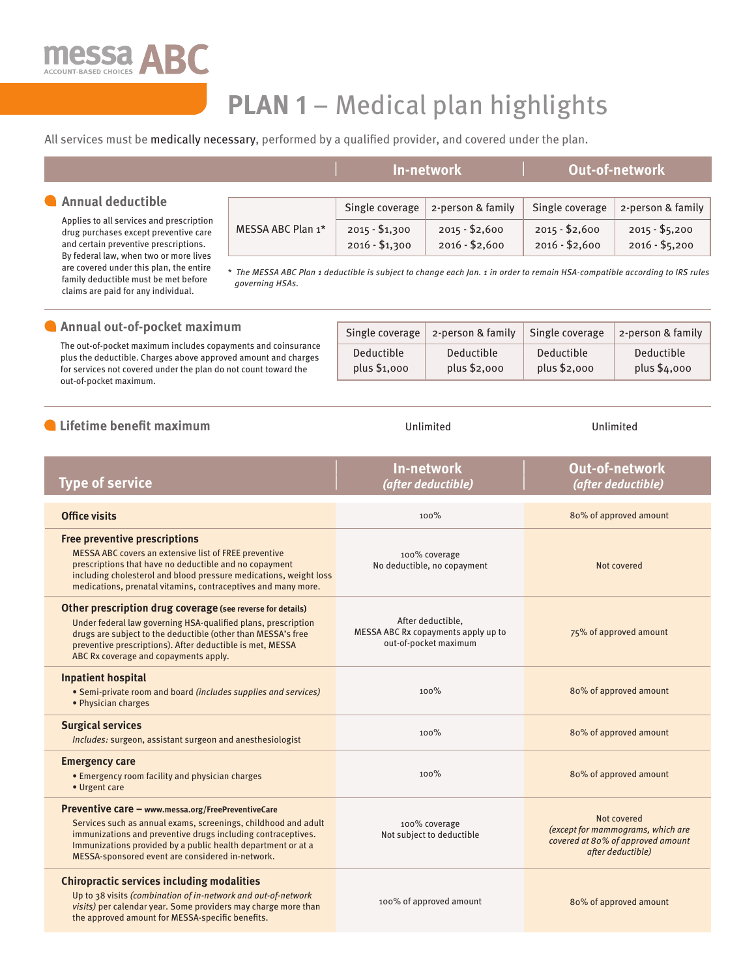

family deductible must be met before claims are paid for any individual.

# **PLAN 1** – Medical plan highlights

## All services must be medically necessary, performed by a qualified provider, and covered under the plan.

|                                                                                   |                                                                                                                                                                                                                                 | In-network      |                   | <b>Out-of-network</b> |                   |
|-----------------------------------------------------------------------------------|---------------------------------------------------------------------------------------------------------------------------------------------------------------------------------------------------------------------------------|-----------------|-------------------|-----------------------|-------------------|
|                                                                                   |                                                                                                                                                                                                                                 |                 |                   |                       |                   |
| Annual deductible                                                                 | MESSA ABC Plan 1*                                                                                                                                                                                                               | Single coverage | 2-person & family | Single coverage       | 2-person & family |
| Applies to all services and prescription<br>drug purchases except preventive care |                                                                                                                                                                                                                                 | $2015 - $1,300$ | $2015 - $2,600$   | $2015 - $2,600$       | $2015 - $5,200$   |
| and certain preventive prescriptions.                                             |                                                                                                                                                                                                                                 | $2016 - $1,300$ | $2016 - $2,600$   | $2016 - $2,600$       | $2016 - $5,200$   |
| By federal law, when two or more lives<br>are covered under this plan, the entire | $\pm$ $\pm$ . Hence is not as it is not as it is not as it is in the state of the state of the state of the state of the state of the state of the state of the state of the state of the state of the state of the state of th |                 |                   |                       |                   |

 *\* The MESSA ABC Plan 1 deductible is subject to change each Jan. 1 in order to remain HSA-compatible according to IRS rules governing HSAs.* 

| Annual out-of-pocket maximum                                                                                                                                                                                                 | Single coverage            | 2-person & family          | Single coverage            | 2-person & family          |
|------------------------------------------------------------------------------------------------------------------------------------------------------------------------------------------------------------------------------|----------------------------|----------------------------|----------------------------|----------------------------|
| The out-of-pocket maximum includes copayments and coinsurance<br>plus the deductible. Charges above approved amount and charges<br>for services not covered under the plan do not count toward the<br>out-of-pocket maximum. | Deductible<br>plus \$1,000 | Deductible<br>plus \$2,000 | Deductible<br>plus \$2,000 | Deductible<br>plus \$4,000 |

| Lifetime benefit maximum                                                                                                                                                                                                                                                                                 | Unlimited                                                                         | Unlimited                                                                                                  |  |
|----------------------------------------------------------------------------------------------------------------------------------------------------------------------------------------------------------------------------------------------------------------------------------------------------------|-----------------------------------------------------------------------------------|------------------------------------------------------------------------------------------------------------|--|
| <b>Type of service</b>                                                                                                                                                                                                                                                                                   | <b>In-network</b><br>(after deductible)                                           | <b>Out-of-network</b><br>(after deductible)                                                                |  |
| <b>Office visits</b>                                                                                                                                                                                                                                                                                     | 100%                                                                              | 80% of approved amount                                                                                     |  |
| <b>Free preventive prescriptions</b><br>MESSA ABC covers an extensive list of FREE preventive<br>prescriptions that have no deductible and no copayment<br>including cholesterol and blood pressure medications, weight loss<br>medications, prenatal vitamins, contraceptives and many more.            | 100% coverage<br>No deductible, no copayment                                      | Not covered                                                                                                |  |
| Other prescription drug coverage (see reverse for details)<br>Under federal law governing HSA-qualified plans, prescription<br>drugs are subject to the deductible (other than MESSA's free<br>preventive prescriptions). After deductible is met, MESSA<br>ABC Rx coverage and copayments apply.        | After deductible,<br>MESSA ABC Rx copayments apply up to<br>out-of-pocket maximum | 75% of approved amount                                                                                     |  |
| <b>Inpatient hospital</b><br>• Semi-private room and board (includes supplies and services)<br>· Physician charges                                                                                                                                                                                       | 100%                                                                              | 80% of approved amount                                                                                     |  |
| <b>Surgical services</b><br>Includes: surgeon, assistant surgeon and anesthesiologist                                                                                                                                                                                                                    | 100%                                                                              | 80% of approved amount                                                                                     |  |
| <b>Emergency care</b><br>• Emergency room facility and physician charges<br>• Urgent care                                                                                                                                                                                                                | 100%                                                                              | 80% of approved amount                                                                                     |  |
| Preventive care - www.messa.org/FreePreventiveCare<br>Services such as annual exams, screenings, childhood and adult<br>immunizations and preventive drugs including contraceptives.<br>Immunizations provided by a public health department or at a<br>MESSA-sponsored event are considered in-network. | 100% coverage<br>Not subject to deductible                                        | Not covered<br>(except for mammograms, which are<br>covered at 80% of approved amount<br>after deductible) |  |
| <b>Chiropractic services including modalities</b><br>Up to 38 visits (combination of in-network and out-of-network<br>visits) per calendar year. Some providers may charge more than<br>the approved amount for MESSA-specific benefits.                                                                 | 100% of approved amount                                                           | 80% of approved amount                                                                                     |  |